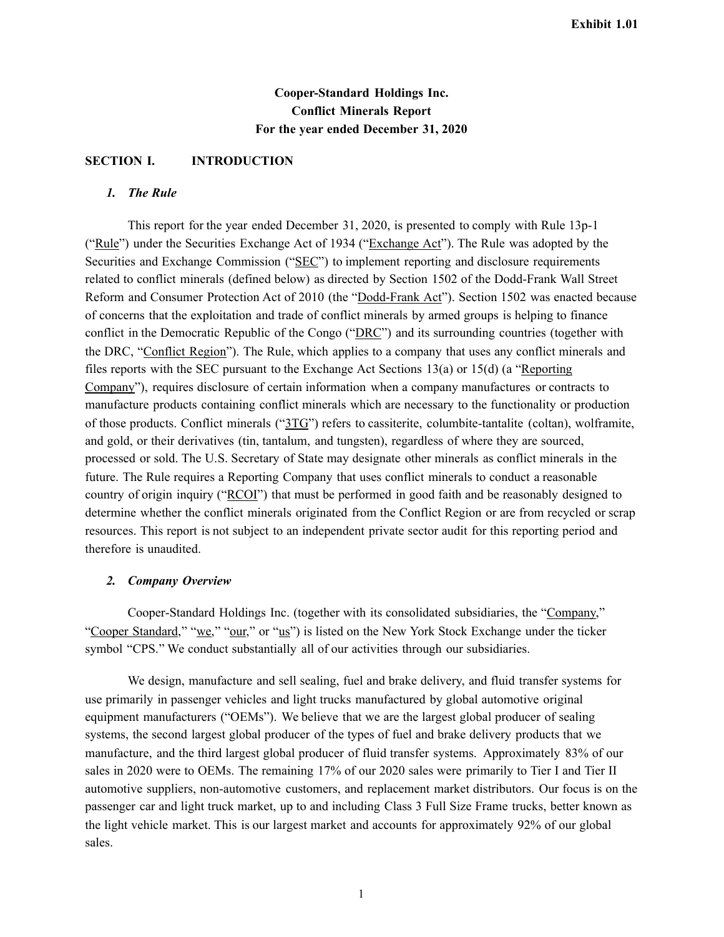# **Cooper-Standard Holdings Inc. Conflict Minerals Report For the year ended December 31, 2020**

## **SECTION I. INTRODUCTION**

# *1. The Rule*

This report for the year ended December 31, 2020, is presented to comply with Rule 13p-1 ("Rule") under the Securities Exchange Act of 1934 ("Exchange Act"). The Rule was adopted by the Securities and Exchange Commission ("SEC") to implement reporting and disclosure requirements related to conflict minerals (defined below) as directed by Section 1502 of the Dodd-Frank Wall Street Reform and Consumer Protection Act of 2010 (the "Dodd-Frank Act"). Section 1502 was enacted because of concerns that the exploitation and trade of conflict minerals by armed groups is helping to finance conflict in the Democratic Republic of the Congo ("DRC") and its surrounding countries (together with the DRC, "Conflict Region"). The Rule, which applies to a company that uses any conflict minerals and files reports with the SEC pursuant to the Exchange Act Sections 13(a) or 15(d) (a "Reporting Company"), requires disclosure of certain information when a company manufactures or contracts to manufacture products containing conflict minerals which are necessary to the functionality or production of those products. Conflict minerals ("3TG") refers to cassiterite, columbite-tantalite (coltan), wolframite, and gold, or their derivatives (tin, tantalum, and tungsten), regardless of where they are sourced, processed or sold. The U.S. Secretary of State may designate other minerals as conflict minerals in the future. The Rule requires a Reporting Company that uses conflict minerals to conduct a reasonable country of origin inquiry ("RCOI") that must be performed in good faith and be reasonably designed to determine whether the conflict minerals originated from the Conflict Region or are from recycled or scrap resources. This report is not subject to an independent private sector audit for this reporting period and therefore is unaudited.

#### *2. Company Overview*

Cooper-Standard Holdings Inc. (together with its consolidated subsidiaries, the "Company," "Cooper Standard," "we," "our," or "us") is listed on the New York Stock Exchange under the ticker symbol "CPS." We conduct substantially all of our activities through our subsidiaries.

We design, manufacture and sell sealing, fuel and brake delivery, and fluid transfer systems for use primarily in passenger vehicles and light trucks manufactured by global automotive original equipment manufacturers ("OEMs"). We believe that we are the largest global producer of sealing systems, the second largest global producer of the types of fuel and brake delivery products that we manufacture, and the third largest global producer of fluid transfer systems. Approximately 83% of our sales in 2020 were to OEMs. The remaining 17% of our 2020 sales were primarily to Tier I and Tier II automotive suppliers, non-automotive customers, and replacement market distributors. Our focus is on the passenger car and light truck market, up to and including Class 3 Full Size Frame trucks, better known as the light vehicle market. This is our largest market and accounts for approximately 92% of our global sales.

1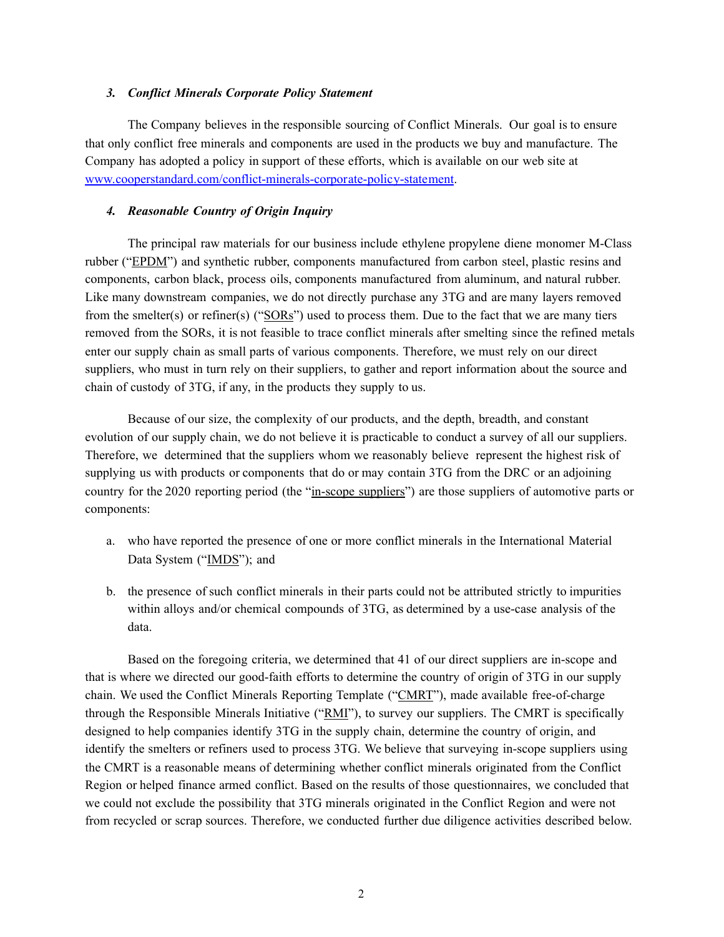### *3. Conflict Minerals Corporate Policy Statement*

The Company believes in the responsible sourcing of Conflict Minerals. Our goal is to ensure that only conflict free minerals and components are used in the products we buy and manufacture. The Company has adopted a policy in support of these efforts, which is available on our web site at [www.cooperstandard.com/conflict-minerals-corporate-policy-statement.](http://www.cooperstandard.com/conflict-minerals-corporate-policy-statement)

## *4. Reasonable Country of Origin Inquiry*

The principal raw materials for our business include ethylene propylene diene monomer M-Class rubber ("EPDM") and synthetic rubber, components manufactured from carbon steel, plastic resins and components, carbon black, process oils, components manufactured from aluminum, and natural rubber. Like many downstream companies, we do not directly purchase any 3TG and are many layers removed from the smelter(s) or refiner(s) ("SORs") used to process them. Due to the fact that we are many tiers removed from the SORs, it is not feasible to trace conflict minerals after smelting since the refined metals enter our supply chain as small parts of various components. Therefore, we must rely on our direct suppliers, who must in turn rely on their suppliers, to gather and report information about the source and chain of custody of 3TG, if any, in the products they supply to us.

Because of our size, the complexity of our products, and the depth, breadth, and constant evolution of our supply chain, we do not believe it is practicable to conduct a survey of all our suppliers. Therefore, we determined that the suppliers whom we reasonably believe represent the highest risk of supplying us with products or components that do or may contain 3TG from the DRC or an adjoining country for the 2020 reporting period (the "in-scope suppliers") are those suppliers of automotive parts or components:

- a. who have reported the presence of one or more conflict minerals in the International Material Data System ("IMDS"); and
- b. the presence of such conflict minerals in their parts could not be attributed strictly to impurities within alloys and/or chemical compounds of 3TG, as determined by a use-case analysis of the data.

Based on the foregoing criteria, we determined that 41 of our direct suppliers are in-scope and that is where we directed our good-faith efforts to determine the country of origin of 3TG in our supply chain. We used the Conflict Minerals Reporting Template ("CMRT"), made available free-of-charge through the Responsible Minerals Initiative ("RMI"), to survey our suppliers. The CMRT is specifically designed to help companies identify 3TG in the supply chain, determine the country of origin, and identify the smelters or refiners used to process 3TG. We believe that surveying in-scope suppliers using the CMRT is a reasonable means of determining whether conflict minerals originated from the Conflict Region or helped finance armed conflict. Based on the results of those questionnaires, we concluded that we could not exclude the possibility that 3TG minerals originated in the Conflict Region and were not from recycled or scrap sources. Therefore, we conducted further due diligence activities described below.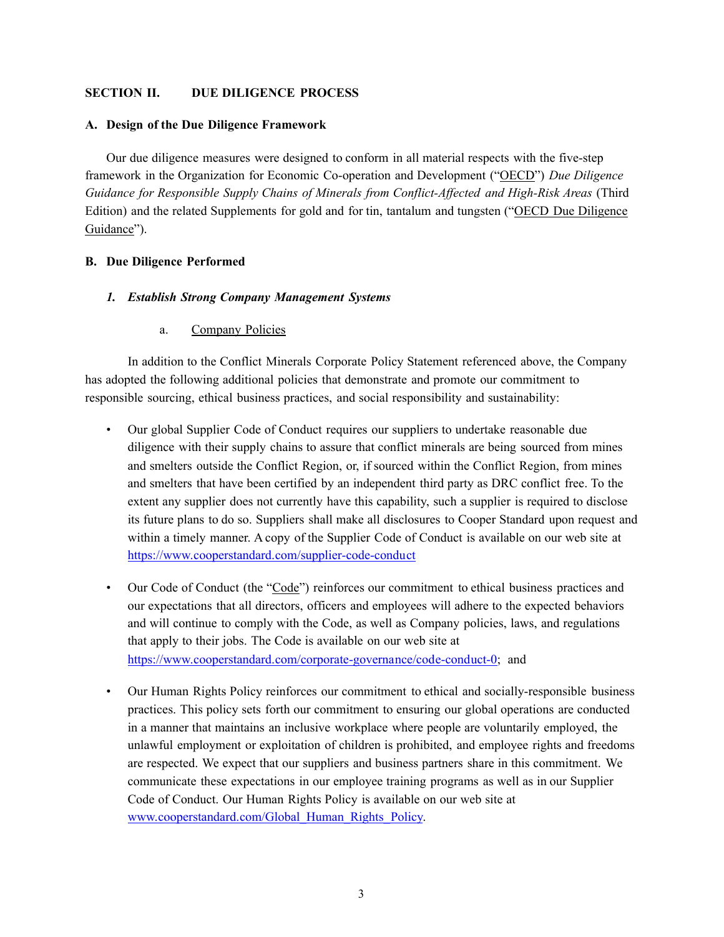# **SECTION II. DUE DILIGENCE PROCESS**

## **A. Design of the Due Diligence Framework**

Our due diligence measures were designed to conform in all material respects with the five-step framework in the Organization for Economic Co-operation and Development ("OECD") *Due Diligence Guidance for Responsible Supply Chains of Minerals from Conflict-Affected and High-Risk Areas* (Third Edition) and the related Supplements for gold and for tin, tantalum and tungsten ("OECD Due Diligence Guidance").

# **B. Due Diligence Performed**

## *1. Establish Strong Company Management Systems*

a. Company Policies

In addition to the Conflict Minerals Corporate Policy Statement referenced above, the Company has adopted the following additional policies that demonstrate and promote our commitment to responsible sourcing, ethical business practices, and social responsibility and sustainability:

- Our global Supplier Code of Conduct requires our suppliers to undertake reasonable due diligence with their supply chains to assure that conflict minerals are being sourced from mines and smelters outside the Conflict Region, or, if sourced within the Conflict Region, from mines and smelters that have been certified by an independent third party as DRC conflict free. To the extent any supplier does not currently have this capability, such a supplier is required to disclose its future plans to do so. Suppliers shall make all disclosures to Cooper Standard upon request and within a timely manner. A copy of the Supplier Code of Conduct is available on our web site at <https://www.cooperstandard.com/supplier-code-conduct>
- Our Code of Conduct (the "Code") reinforces our commitment to ethical business practices and our expectations that all directors, officers and employees will adhere to the expected behaviors and will continue to comply with the Code, as well as Company policies, laws, and regulations that apply to their jobs. The Code is available on our web site at [https://www.cooperstandard.com/corporate-governance/code-conduct-0;](https://www.cooperstandard.com/corporate-governance/code-conduct-0) and
- Our Human Rights Policy reinforces our commitment to ethical and socially-responsible business practices. This policy sets forth our commitment to ensuring our global operations are conducted in a manner that maintains an inclusive workplace where people are voluntarily employed, the unlawful employment or exploitation of children is prohibited, and employee rights and freedoms are respected. We expect that our suppliers and business partners share in this commitment. We communicate these expectations in our employee training programs as well as in our Supplier Code of Conduct. Our Human Rights Policy is available on our web site at [www.cooperstandard.com/Global\\_Human\\_Rights\\_Policy.](http://www.cooperstandard.com/Global_Human_Rights_Policy)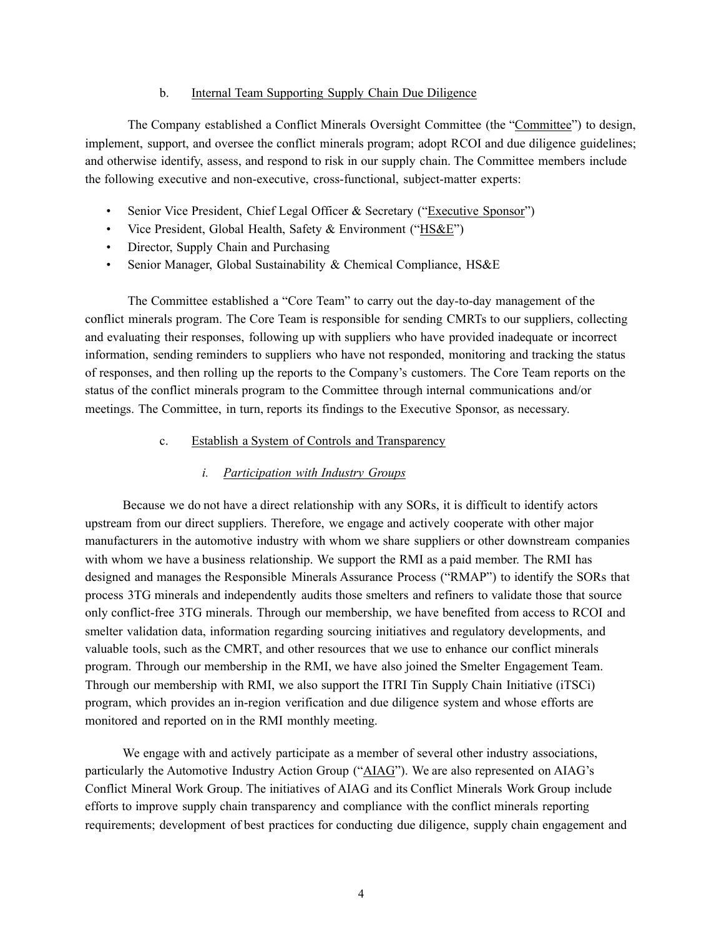## b. Internal Team Supporting Supply Chain Due Diligence

The Company established a Conflict Minerals Oversight Committee (the "Committee") to design, implement, support, and oversee the conflict minerals program; adopt RCOI and due diligence guidelines; and otherwise identify, assess, and respond to risk in our supply chain. The Committee members include the following executive and non-executive, cross-functional, subject-matter experts:

- Senior Vice President, Chief Legal Officer & Secretary ("Executive Sponsor")
- Vice President, Global Health, Safety & Environment ("HS&E")
- Director, Supply Chain and Purchasing
- Senior Manager, Global Sustainability & Chemical Compliance, HS&E

The Committee established a "Core Team" to carry out the day-to-day management of the conflict minerals program. The Core Team is responsible for sending CMRTs to our suppliers, collecting and evaluating their responses, following up with suppliers who have provided inadequate or incorrect information, sending reminders to suppliers who have not responded, monitoring and tracking the status of responses, and then rolling up the reports to the Company's customers. The Core Team reports on the status of the conflict minerals program to the Committee through internal communications and/or meetings. The Committee, in turn, reports its findings to the Executive Sponsor, as necessary.

## c. Establish a System of Controls and Transparency

## *i. Participation with Industry Groups*

Because we do not have a direct relationship with any SORs, it is difficult to identify actors upstream from our direct suppliers. Therefore, we engage and actively cooperate with other major manufacturers in the automotive industry with whom we share suppliers or other downstream companies with whom we have a business relationship. We support the RMI as a paid member. The RMI has designed and manages the Responsible Minerals Assurance Process ("RMAP") to identify the SORs that process 3TG minerals and independently audits those smelters and refiners to validate those that source only conflict-free 3TG minerals. Through our membership, we have benefited from access to RCOI and smelter validation data, information regarding sourcing initiatives and regulatory developments, and valuable tools, such as the CMRT, and other resources that we use to enhance our conflict minerals program. Through our membership in the RMI, we have also joined the Smelter Engagement Team. Through our membership with RMI, we also support the ITRI Tin Supply Chain Initiative (iTSCi) program, which provides an in-region verification and due diligence system and whose efforts are monitored and reported on in the RMI monthly meeting.

We engage with and actively participate as a member of several other industry associations, particularly the Automotive Industry Action Group ("AIAG"). We are also represented on AIAG's Conflict Mineral Work Group. The initiatives of AIAG and its Conflict Minerals Work Group include efforts to improve supply chain transparency and compliance with the conflict minerals reporting requirements; development of best practices for conducting due diligence, supply chain engagement and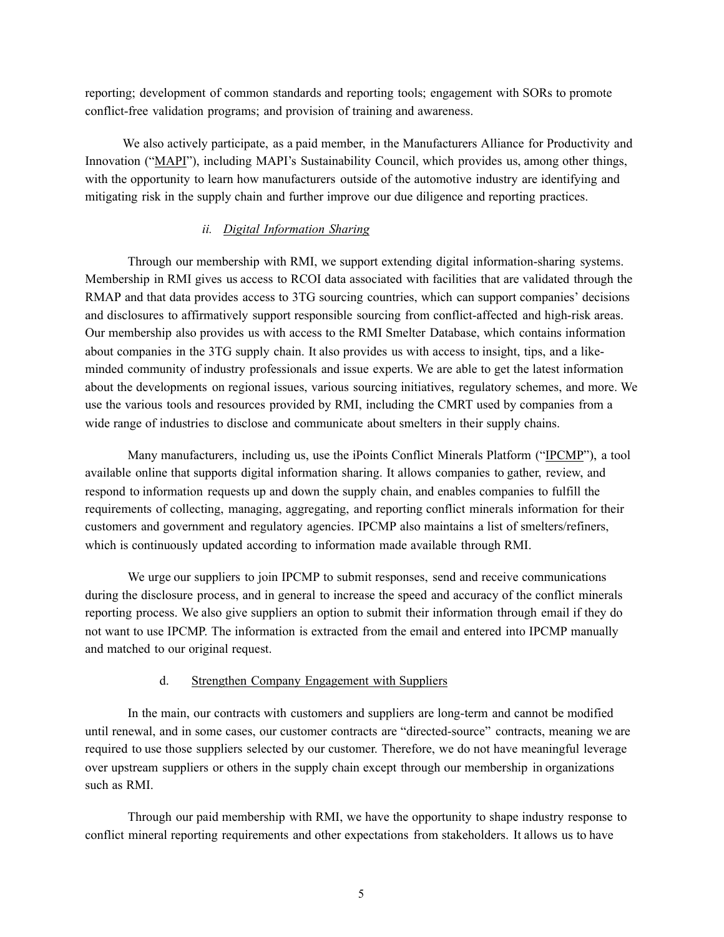reporting; development of common standards and reporting tools; engagement with SORs to promote conflict-free validation programs; and provision of training and awareness.

We also actively participate, as a paid member, in the Manufacturers Alliance for Productivity and Innovation ("MAPI"), including MAPI's Sustainability Council, which provides us, among other things, with the opportunity to learn how manufacturers outside of the automotive industry are identifying and mitigating risk in the supply chain and further improve our due diligence and reporting practices.

# *ii. Digital Information Sharing*

Through our membership with RMI, we support extending digital information-sharing systems. Membership in RMI gives us access to RCOI data associated with facilities that are validated through the RMAP and that data provides access to 3TG sourcing countries, which can support companies' decisions and disclosures to affirmatively support responsible sourcing from conflict-affected and high-risk areas. Our membership also provides us with access to the RMI Smelter Database, which contains information about companies in the 3TG supply chain. It also provides us with access to insight, tips, and a likeminded community of industry professionals and issue experts. We are able to get the latest information about the developments on regional issues, various sourcing initiatives, regulatory schemes, and more. We use the various tools and resources provided by RMI, including the CMRT used by companies from a wide range of industries to disclose and communicate about smelters in their supply chains.

Many manufacturers, including us, use the iPoints Conflict Minerals Platform ("IPCMP"), a tool available online that supports digital information sharing. It allows companies to gather, review, and respond to information requests up and down the supply chain, and enables companies to fulfill the requirements of collecting, managing, aggregating, and reporting conflict minerals information for their customers and government and regulatory agencies. IPCMP also maintains a list of smelters/refiners, which is continuously updated according to information made available through RMI.

We urge our suppliers to join IPCMP to submit responses, send and receive communications during the disclosure process, and in general to increase the speed and accuracy of the conflict minerals reporting process. We also give suppliers an option to submit their information through email if they do not want to use IPCMP. The information is extracted from the email and entered into IPCMP manually and matched to our original request.

#### d. Strengthen Company Engagement with Suppliers

In the main, our contracts with customers and suppliers are long-term and cannot be modified until renewal, and in some cases, our customer contracts are "directed-source" contracts, meaning we are required to use those suppliers selected by our customer. Therefore, we do not have meaningful leverage over upstream suppliers or others in the supply chain except through our membership in organizations such as RMI.

Through our paid membership with RMI, we have the opportunity to shape industry response to conflict mineral reporting requirements and other expectations from stakeholders. It allows us to have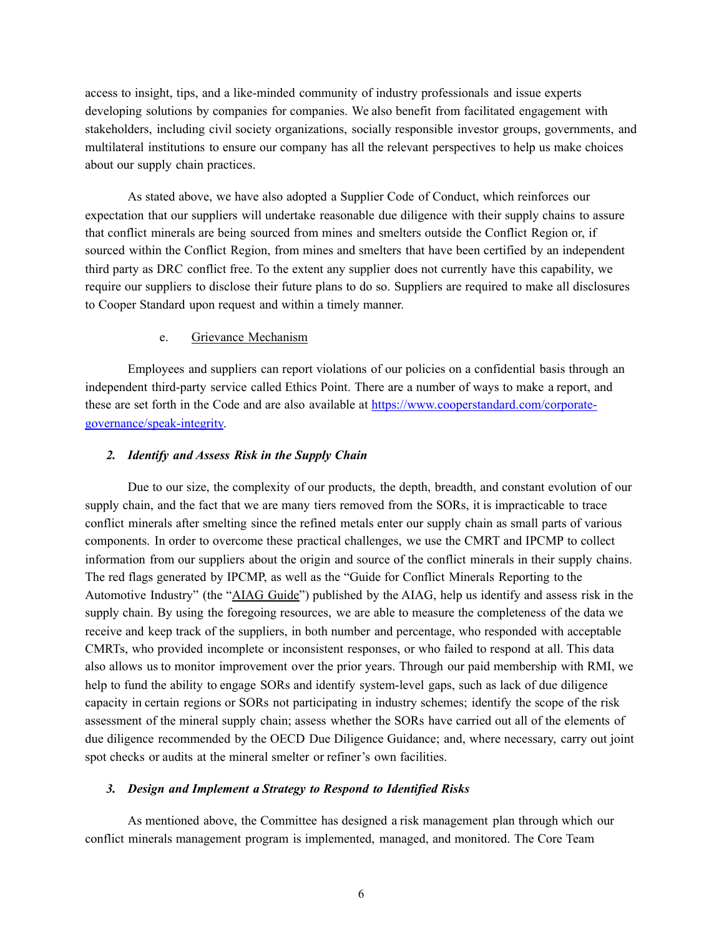access to insight, tips, and a like-minded community of industry professionals and issue experts developing solutions by companies for companies. We also benefit from facilitated engagement with stakeholders, including civil society organizations, socially responsible investor groups, governments, and multilateral institutions to ensure our company has all the relevant perspectives to help us make choices about our supply chain practices.

As stated above, we have also adopted a Supplier Code of Conduct, which reinforces our expectation that our suppliers will undertake reasonable due diligence with their supply chains to assure that conflict minerals are being sourced from mines and smelters outside the Conflict Region or, if sourced within the Conflict Region, from mines and smelters that have been certified by an independent third party as DRC conflict free. To the extent any supplier does not currently have this capability, we require our suppliers to disclose their future plans to do so. Suppliers are required to make all disclosures to Cooper Standard upon request and within a timely manner.

## e. Grievance Mechanism

Employees and suppliers can report violations of our policies on a confidential basis through an independent third-party service called Ethics Point. There are a number of ways to make a report, and these are set forth in the Code and are also available at [https://www.cooperstandard.com/corporate](https://www.cooperstandard.com/corporate-governance/speak-integrity)[governance/speak-integrity.](https://www.cooperstandard.com/corporate-governance/speak-integrity)

## *2. Identify and Assess Risk in the Supply Chain*

Due to our size, the complexity of our products, the depth, breadth, and constant evolution of our supply chain, and the fact that we are many tiers removed from the SORs, it is impracticable to trace conflict minerals after smelting since the refined metals enter our supply chain as small parts of various components. In order to overcome these practical challenges, we use the CMRT and IPCMP to collect information from our suppliers about the origin and source of the conflict minerals in their supply chains. The red flags generated by IPCMP, as well as the "Guide for Conflict Minerals Reporting to the Automotive Industry" (the "AIAG Guide") published by the AIAG, help us identify and assess risk in the supply chain. By using the foregoing resources, we are able to measure the completeness of the data we receive and keep track of the suppliers, in both number and percentage, who responded with acceptable CMRTs, who provided incomplete or inconsistent responses, or who failed to respond at all. This data also allows us to monitor improvement over the prior years. Through our paid membership with RMI, we help to fund the ability to engage SORs and identify system-level gaps, such as lack of due diligence capacity in certain regions or SORs not participating in industry schemes; identify the scope of the risk assessment of the mineral supply chain; assess whether the SORs have carried out all of the elements of due diligence recommended by the OECD Due Diligence Guidance; and, where necessary, carry out joint spot checks or audits at the mineral smelter or refiner's own facilities.

## *3. Design and Implement a Strategy to Respond to Identified Risks*

As mentioned above, the Committee has designed a risk management plan through which our conflict minerals management program is implemented, managed, and monitored. The Core Team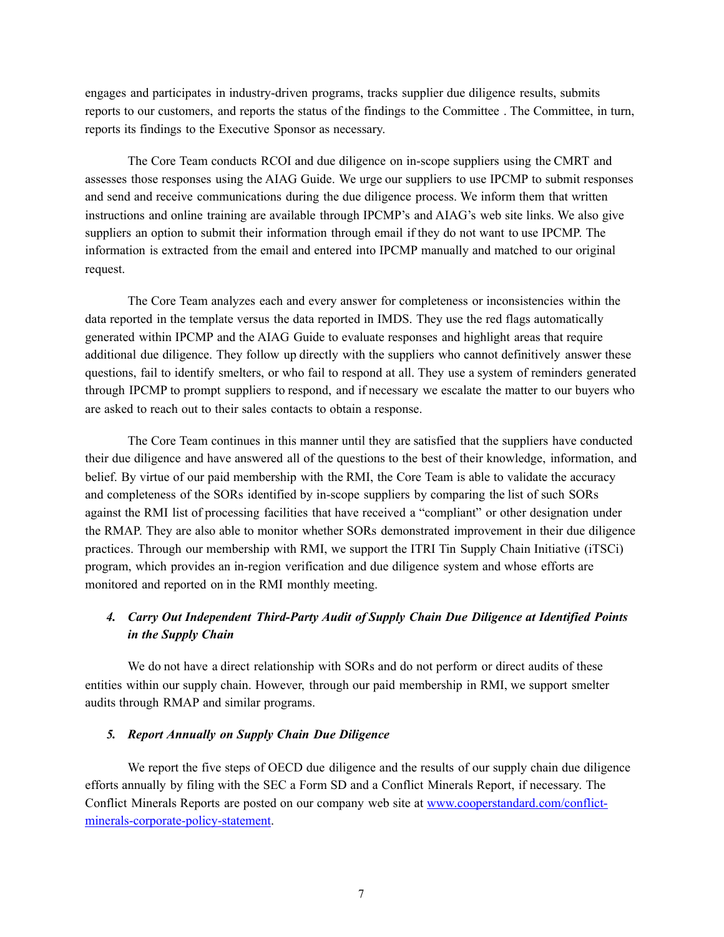engages and participates in industry-driven programs, tracks supplier due diligence results, submits reports to our customers, and reports the status of the findings to the Committee . The Committee, in turn, reports its findings to the Executive Sponsor as necessary.

The Core Team conducts RCOI and due diligence on in-scope suppliers using the CMRT and assesses those responses using the AIAG Guide. We urge our suppliers to use IPCMP to submit responses and send and receive communications during the due diligence process. We inform them that written instructions and online training are available through IPCMP's and AIAG's web site links. We also give suppliers an option to submit their information through email if they do not want to use IPCMP. The information is extracted from the email and entered into IPCMP manually and matched to our original request.

The Core Team analyzes each and every answer for completeness or inconsistencies within the data reported in the template versus the data reported in IMDS. They use the red flags automatically generated within IPCMP and the AIAG Guide to evaluate responses and highlight areas that require additional due diligence. They follow up directly with the suppliers who cannot definitively answer these questions, fail to identify smelters, or who fail to respond at all. They use a system of reminders generated through IPCMP to prompt suppliers to respond, and if necessary we escalate the matter to our buyers who are asked to reach out to their sales contacts to obtain a response.

The Core Team continues in this manner until they are satisfied that the suppliers have conducted their due diligence and have answered all of the questions to the best of their knowledge, information, and belief. By virtue of our paid membership with the RMI, the Core Team is able to validate the accuracy and completeness of the SORs identified by in-scope suppliers by comparing the list of such SORs against the RMI list of processing facilities that have received a "compliant" or other designation under the RMAP. They are also able to monitor whether SORs demonstrated improvement in their due diligence practices. Through our membership with RMI, we support the ITRI Tin Supply Chain Initiative (iTSCi) program, which provides an in-region verification and due diligence system and whose efforts are monitored and reported on in the RMI monthly meeting.

# *4. Carry Out Independent Third-Party Audit of Supply Chain Due Diligence at Identified Points in the Supply Chain*

We do not have a direct relationship with SORs and do not perform or direct audits of these entities within our supply chain. However, through our paid membership in RMI, we support smelter audits through RMAP and similar programs.

# *5. Report Annually on Supply Chain Due Diligence*

We report the five steps of OECD due diligence and the results of our supply chain due diligence efforts annually by filing with the SEC a Form SD and a Conflict Minerals Report, if necessary. The Conflict Minerals Reports are posted on our company web site at [www.cooperstandard.com/conflict](http://www.cooperstandard.com/conflict-minerals-corporate-policy-statement)[minerals-corporate-policy-statement.](http://www.cooperstandard.com/conflict-minerals-corporate-policy-statement)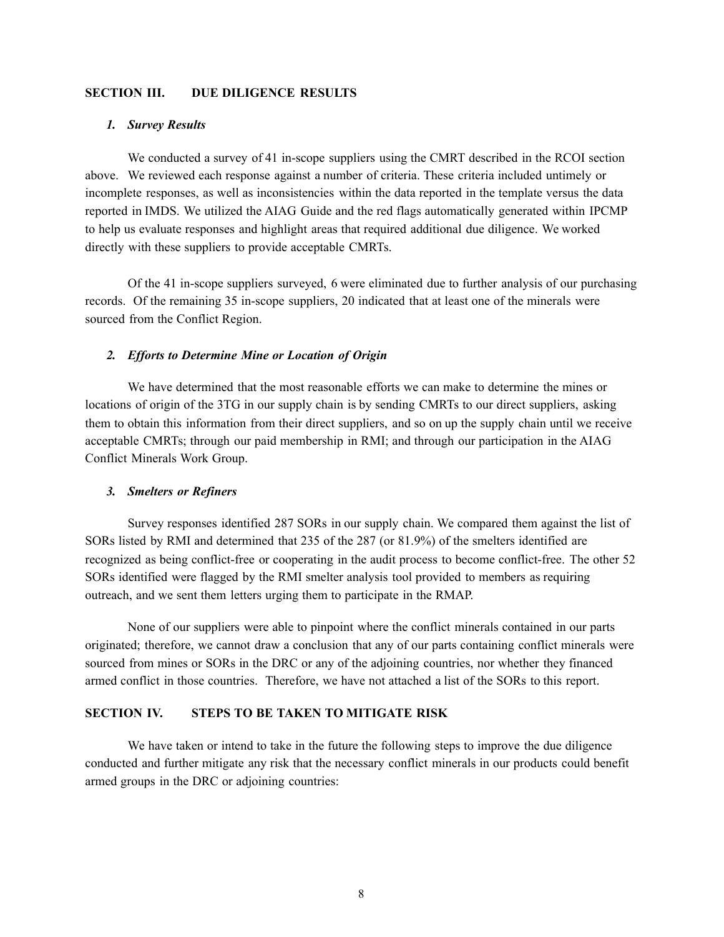## **SECTION III. DUE DILIGENCE RESULTS**

### *1. Survey Results*

We conducted a survey of 41 in-scope suppliers using the CMRT described in the RCOI section above. We reviewed each response against a number of criteria. These criteria included untimely or incomplete responses, as well as inconsistencies within the data reported in the template versus the data reported in IMDS. We utilized the AIAG Guide and the red flags automatically generated within IPCMP to help us evaluate responses and highlight areas that required additional due diligence. We worked directly with these suppliers to provide acceptable CMRTs.

Of the 41 in-scope suppliers surveyed, 6 were eliminated due to further analysis of our purchasing records. Of the remaining 35 in-scope suppliers, 20 indicated that at least one of the minerals were sourced from the Conflict Region.

### *2. Efforts to Determine Mine or Location of Origin*

We have determined that the most reasonable efforts we can make to determine the mines or locations of origin of the 3TG in our supply chain is by sending CMRTs to our direct suppliers, asking them to obtain this information from their direct suppliers, and so on up the supply chain until we receive acceptable CMRTs; through our paid membership in RMI; and through our participation in the AIAG Conflict Minerals Work Group.

## *3. Smelters or Refiners*

Survey responses identified 287 SORs in our supply chain. We compared them against the list of SORs listed by RMI and determined that 235 of the 287 (or 81.9%) of the smelters identified are recognized as being conflict-free or cooperating in the audit process to become conflict-free. The other 52 SORs identified were flagged by the RMI smelter analysis tool provided to members as requiring outreach, and we sent them letters urging them to participate in the RMAP.

None of our suppliers were able to pinpoint where the conflict minerals contained in our parts originated; therefore, we cannot draw a conclusion that any of our parts containing conflict minerals were sourced from mines or SORs in the DRC or any of the adjoining countries, nor whether they financed armed conflict in those countries. Therefore, we have not attached a list of the SORs to this report.

## **SECTION IV. STEPS TO BE TAKEN TO MITIGATE RISK**

We have taken or intend to take in the future the following steps to improve the due diligence conducted and further mitigate any risk that the necessary conflict minerals in our products could benefit armed groups in the DRC or adjoining countries: